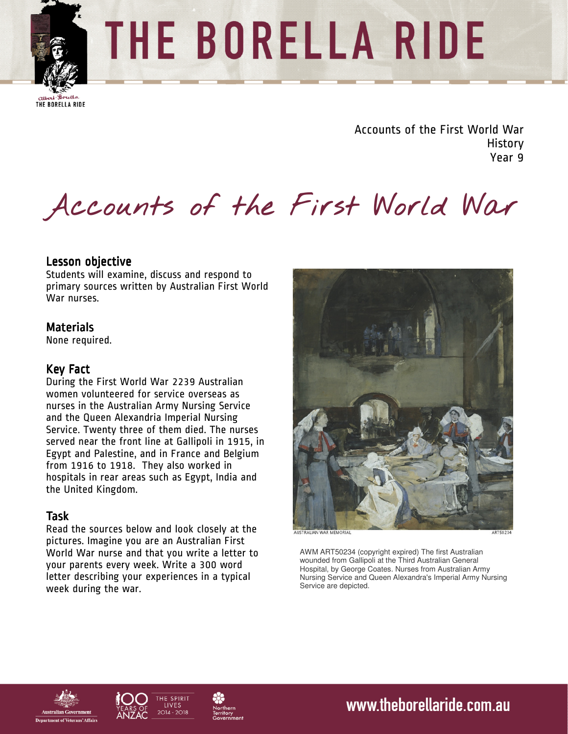

# THE BORELLA RIDE

THE BORELLA RIDE

Accounts of the First World War **History** Year 9

# **Accounts of the First World War**

## Lesson objective Lesson objective

Students will examine, discuss and respond to primary sources written by Australian First World War nurses.

## **Materials**

None required.

### Key Fact

During the First World War 2239 Australian women volunteered for service overseas as nurses in the Australian Army Nursing Service and the Queen Alexandria Imperial Nursing Service. Twenty three of them died. The nurses served near the front line at Gallipoli in 1915, in Egypt and Palestine, and in France and Belgium from 1916 to 1918. They also worked in hospitals in rear areas such as Egypt, India and the United Kingdom.

## Task

Read the sources below and look closely at the pictures. Imagine you are an Australian First World War nurse and that you write a letter to your parents every week. Write a 300 word letter describing your experiences in a typical week during the war.



AWM ART50234 (copyright expired) The first Australian wounded from Gallipoli at the Third Australian General Hospital, by George Coates. Nurses from Australian Army Nursing Service and Queen Alexandra's Imperial Army Nursing Service are depicted.







www.theborellaride.com.au